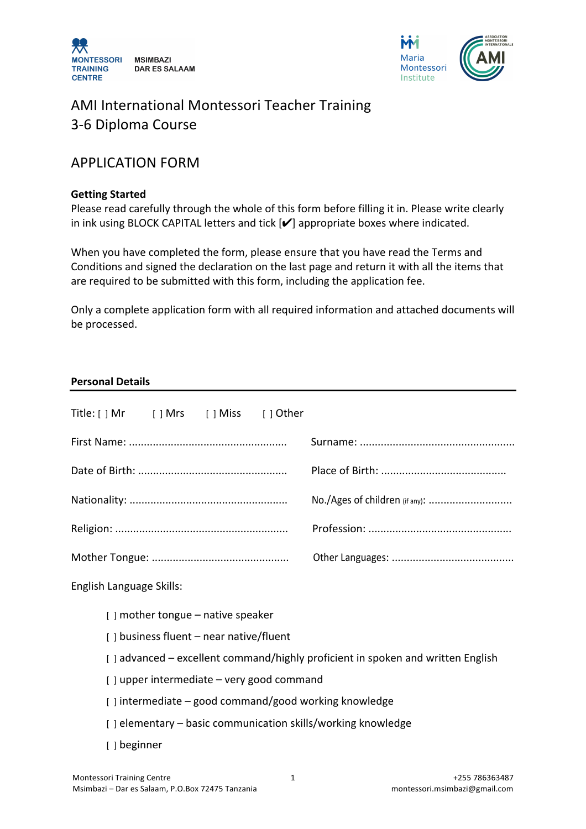



# AMI International Montessori Teacher Training 3-6 Diploma Course

# APPLICATION FORM

#### **Getting Started**

Please read carefully through the whole of this form before filling it in. Please write clearly in ink using BLOCK CAPITAL letters and tick  $[V]$  appropriate boxes where indicated.

When you have completed the form, please ensure that you have read the Terms and Conditions and signed the declaration on the last page and return it with all the items that are required to be submitted with this form, including the application fee.

Only a complete application form with all required information and attached documents will be processed.

#### **Personal Details**

|                          |                                                                                 |  |                                         |  | No./Ages of children (if any): |
|--------------------------|---------------------------------------------------------------------------------|--|-----------------------------------------|--|--------------------------------|
|                          |                                                                                 |  |                                         |  |                                |
|                          |                                                                                 |  |                                         |  |                                |
| English Language Skills: |                                                                                 |  |                                         |  |                                |
|                          |                                                                                 |  | $[ ]$ mother tongue – native speaker    |  |                                |
|                          |                                                                                 |  | [] business fluent - near native/fluent |  |                                |
|                          | [] advanced – excellent command/highly proficient in spoken and written English |  |                                         |  |                                |
|                          | [] upper intermediate - very good command                                       |  |                                         |  |                                |
|                          | [] intermediate - good command/good working knowledge                           |  |                                         |  |                                |
|                          | [] elementary - basic communication skills/working knowledge                    |  |                                         |  |                                |
|                          | [ ] beginner                                                                    |  |                                         |  |                                |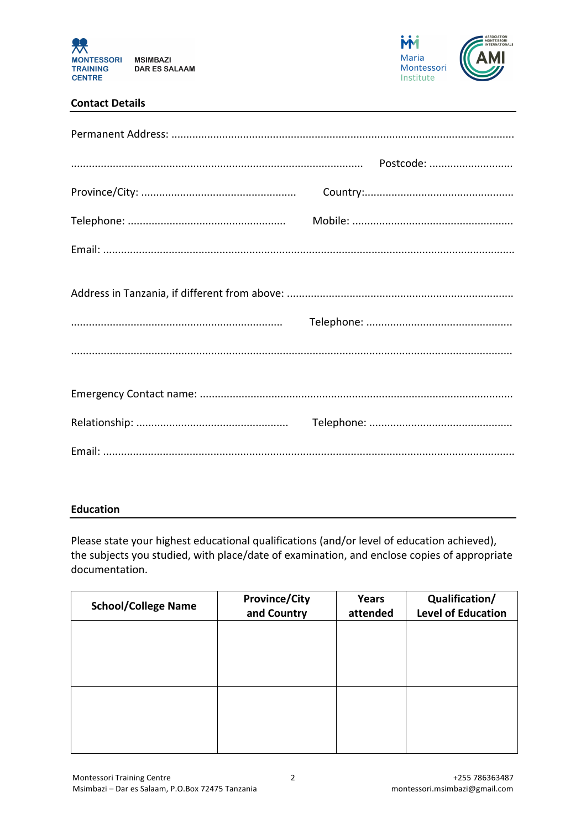

Maria Montessori Institute

#### **Contact Details**

#### **Education**

Please state your highest educational qualifications (and/or level of education achieved), the subjects you studied, with place/date of examination, and enclose copies of appropriate documentation.

| <b>School/College Name</b> | <b>Province/City</b><br>and Country | Years<br>attended | Qualification/<br><b>Level of Education</b> |
|----------------------------|-------------------------------------|-------------------|---------------------------------------------|
|                            |                                     |                   |                                             |
|                            |                                     |                   |                                             |
|                            |                                     |                   |                                             |
|                            |                                     |                   |                                             |
|                            |                                     |                   |                                             |
|                            |                                     |                   |                                             |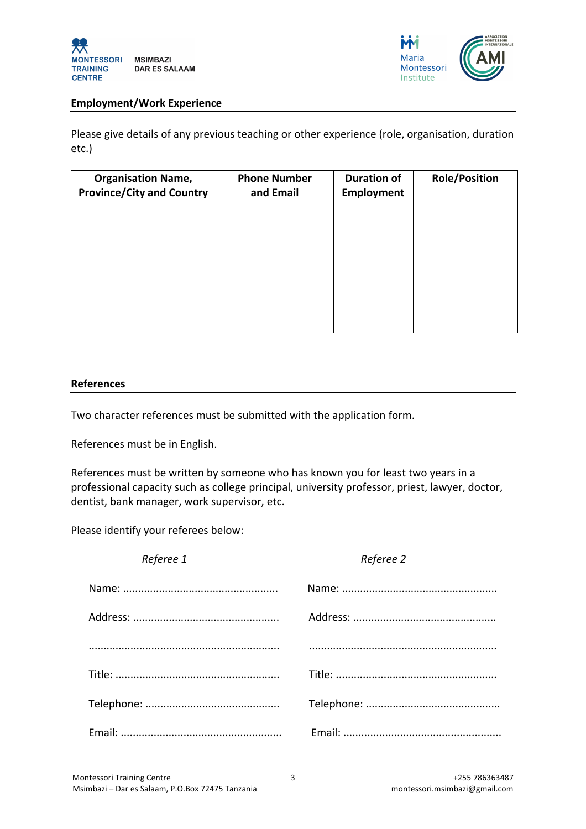



#### **Employment/Work Experience**

Please give details of any previous teaching or other experience (role, organisation, duration etc.)

| <b>Organisation Name,</b><br><b>Province/City and Country</b> | <b>Phone Number</b><br>and Email | <b>Duration of</b><br>Employment | <b>Role/Position</b> |
|---------------------------------------------------------------|----------------------------------|----------------------------------|----------------------|
|                                                               |                                  |                                  |                      |
|                                                               |                                  |                                  |                      |
|                                                               |                                  |                                  |                      |
|                                                               |                                  |                                  |                      |
|                                                               |                                  |                                  |                      |

#### **References**

Two character references must be submitted with the application form.

References must be in English.

References must be written by someone who has known you for least two years in a professional capacity such as college principal, university professor, priest, lawyer, doctor, dentist, bank manager, work supervisor, etc.

Please identify your referees below:

| Referee 1 | Referee 2 |
|-----------|-----------|
|           |           |
|           |           |
|           |           |
|           |           |
|           |           |
|           |           |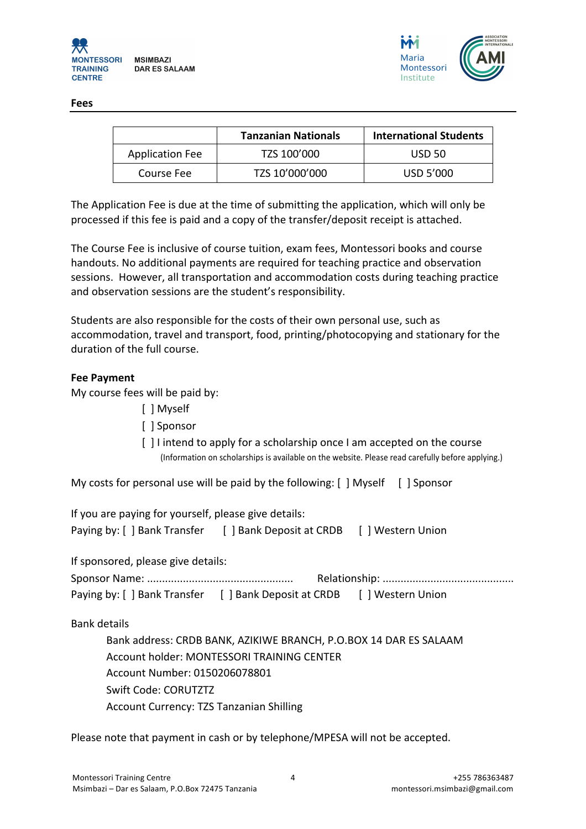

Montessori and the contract of the contract of the contract of the contract of the contract of the contract of the contract of

**Fees**

|                        | <b>Tanzanian Nationals</b> | <b>International Students</b> |
|------------------------|----------------------------|-------------------------------|
| <b>Application Fee</b> | TZS 100'000                | <b>USD 50</b>                 |
| Course Fee             | TZS 10'000'000             | USD 5'000                     |

The Application Fee is due at the time of submitting the application, which will only be processed if this fee is paid and a copy of the transfer/deposit receipt is attached.

The Course Fee is inclusive of course tuition, exam fees, Montessori books and course handouts. No additional payments are required for teaching practice and observation sessions. However, all transportation and accommodation costs during teaching practice and observation sessions are the student's responsibility.

Students are also responsible for the costs of their own personal use, such as accommodation, travel and transport, food, printing/photocopying and stationary for the duration of the full course.

#### **Fee Payment**

My course fees will be paid by:

- [ ] Myself
- [  $|$  Sponsor
- $\lceil$   $\rceil$  I intend to apply for a scholarship once I am accepted on the course (Information on scholarships is available on the website. Please read carefully before applying.)

My costs for personal use will be paid by the following:  $[$  | Myself  $[$  | Sponsor

| If you are paying for yourself, please give details: |                          |               |  |  |  |
|------------------------------------------------------|--------------------------|---------------|--|--|--|
| Paying by: [ ] Bank Transfer                         | [ ] Bank Deposit at CRDB | Western Union |  |  |  |

If sponsored, please give details:

| Paying by: [ ] Bank Transfer [ ] Bank Deposit at CRDB | [ ] Western Union |  |  |
|-------------------------------------------------------|-------------------|--|--|

Bank details

Bank address: CRDB BANK, AZIKIWE BRANCH, P.O.BOX 14 DAR ES SALAAM Account holder: MONTESSORI TRAINING CENTER Account Number: 0150206078801 Swift Code: CORUTZTZ Account Currency: TZS Tanzanian Shilling

Please note that payment in cash or by telephone/MPESA will not be accepted.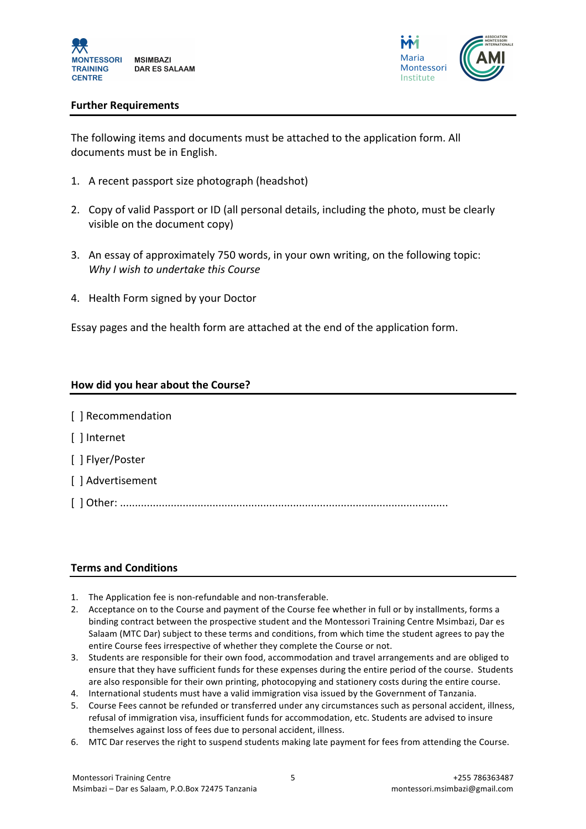



#### **Further Requirements**

The following items and documents must be attached to the application form. All documents must be in English.

- 1. A recent passport size photograph (headshot)
- 2. Copy of valid Passport or ID (all personal details, including the photo, must be clearly visible on the document copy)
- 3. An essay of approximately 750 words, in your own writing, on the following topic: *Why I wish to undertake this Course*
- 4. Health Form signed by your Doctor

Essay pages and the health form are attached at the end of the application form.

#### **How did you hear about the Course?**

| [] Recommendation |
|-------------------|
| [ ] Internet      |
| [ ] Flyer/Poster  |
| [ ] Advertisement |
|                   |

#### **Terms and Conditions**

- 1. The Application fee is non-refundable and non-transferable.
- 2. Acceptance on to the Course and payment of the Course fee whether in full or by installments, forms a binding contract between the prospective student and the Montessori Training Centre Msimbazi, Dar es Salaam (MTC Dar) subject to these terms and conditions, from which time the student agrees to pay the entire Course fees irrespective of whether they complete the Course or not.
- 3. Students are responsible for their own food, accommodation and travel arrangements and are obliged to ensure that they have sufficient funds for these expenses during the entire period of the course. Students are also responsible for their own printing, photocopying and stationery costs during the entire course.
- 4. International students must have a valid immigration visa issued by the Government of Tanzania.
- 5. Course Fees cannot be refunded or transferred under any circumstances such as personal accident, illness, refusal of immigration visa, insufficient funds for accommodation, etc. Students are advised to insure themselves against loss of fees due to personal accident, illness.
- 6. MTC Dar reserves the right to suspend students making late payment for fees from attending the Course.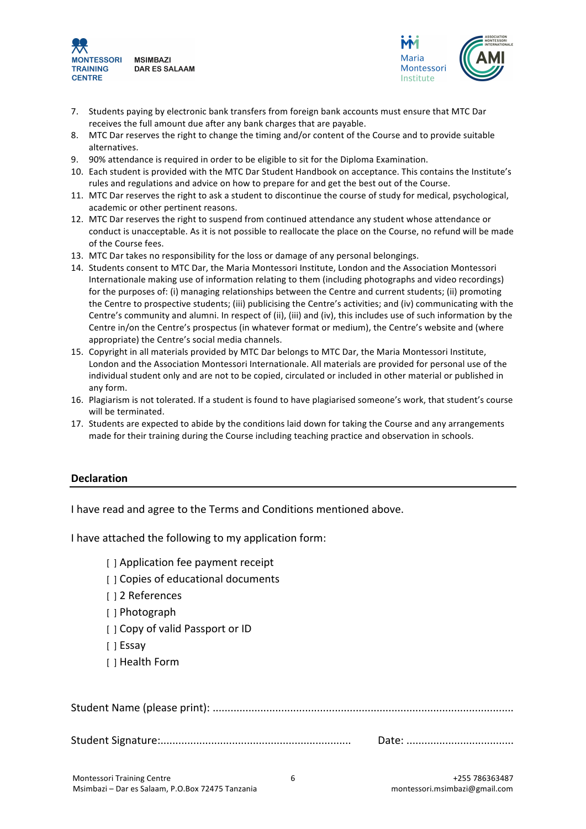



- 7. Students paying by electronic bank transfers from foreign bank accounts must ensure that MTC Dar receives the full amount due after any bank charges that are payable.
- 8. MTC Dar reserves the right to change the timing and/or content of the Course and to provide suitable alternatives.
- 9. 90% attendance is required in order to be eligible to sit for the Diploma Examination.
- 10. Each student is provided with the MTC Dar Student Handbook on acceptance. This contains the Institute's rules and regulations and advice on how to prepare for and get the best out of the Course.
- 11. MTC Dar reserves the right to ask a student to discontinue the course of study for medical, psychological, academic or other pertinent reasons.
- 12. MTC Dar reserves the right to suspend from continued attendance any student whose attendance or conduct is unacceptable. As it is not possible to reallocate the place on the Course, no refund will be made of the Course fees.
- 13. MTC Dar takes no responsibility for the loss or damage of any personal belongings.
- 14. Students consent to MTC Dar, the Maria Montessori Institute, London and the Association Montessori Internationale making use of information relating to them (including photographs and video recordings) for the purposes of: (i) managing relationships between the Centre and current students; (ii) promoting the Centre to prospective students; (iii) publicising the Centre's activities; and (iv) communicating with the Centre's community and alumni. In respect of (ii), (iii) and (iv), this includes use of such information by the Centre in/on the Centre's prospectus (in whatever format or medium), the Centre's website and (where appropriate) the Centre's social media channels.
- 15. Copyright in all materials provided by MTC Dar belongs to MTC Dar, the Maria Montessori Institute, London and the Association Montessori Internationale. All materials are provided for personal use of the individual student only and are not to be copied, circulated or included in other material or published in any form.
- 16. Plagiarism is not tolerated. If a student is found to have plagiarised someone's work, that student's course will be terminated.
- 17. Students are expected to abide by the conditions laid down for taking the Course and any arrangements made for their training during the Course including teaching practice and observation in schools.

#### **Declaration**

I have read and agree to the Terms and Conditions mentioned above.

I have attached the following to my application form:

- [ ] Application fee payment receipt
- [  $\vert$  ] Copies of educational documents
- [ ] 2 References
- [ ] Photograph
- [ ] Copy of valid Passport or ID
- [ ] Essay
- [ ] Health Form

Student Signature:................................................................ Date: ....................................

6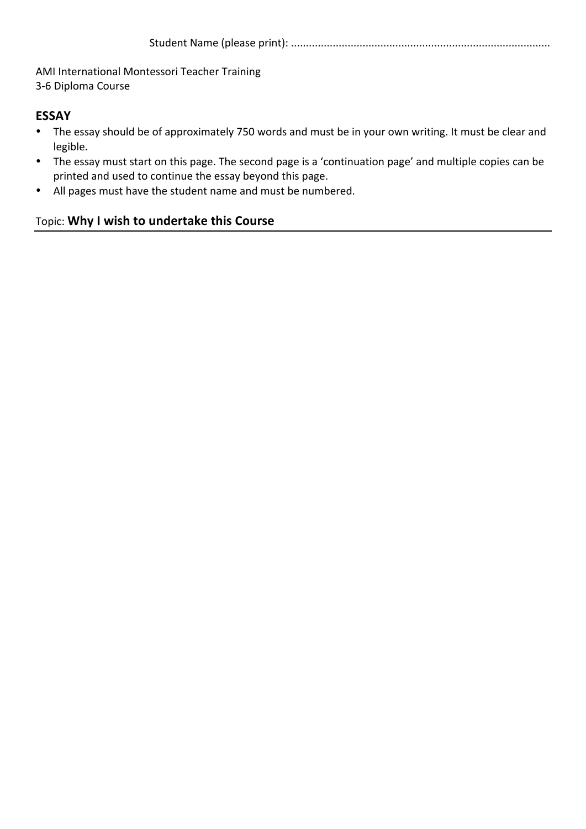AMI International Montessori Teacher Training 3-6 Diploma Course

# **ESSAY**

- The essay should be of approximately 750 words and must be in your own writing. It must be clear and legible.
- The essay must start on this page. The second page is a 'continuation page' and multiple copies can be printed and used to continue the essay beyond this page.
- All pages must have the student name and must be numbered.

# Topic: Why I wish to undertake this Course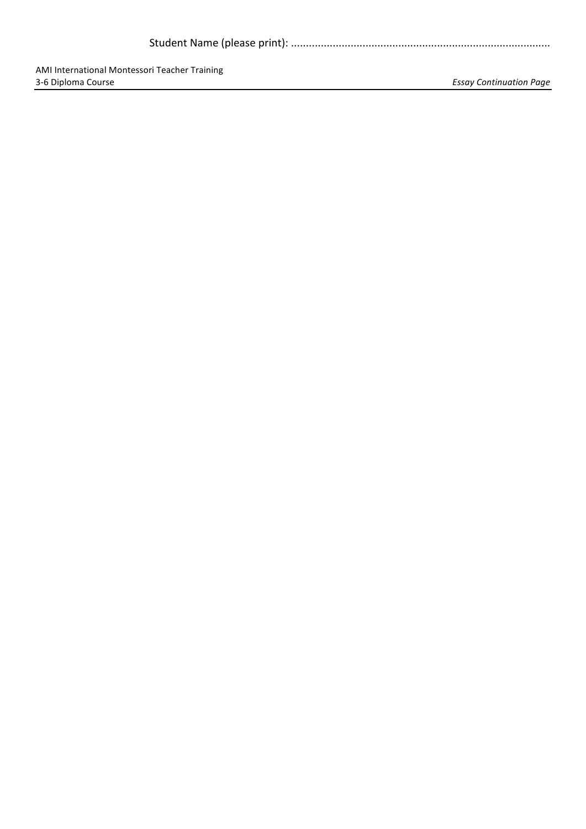|--|--|

AMI International Montessori Teacher Training<br>3-6 Diploma Course

Essay Continuation Page